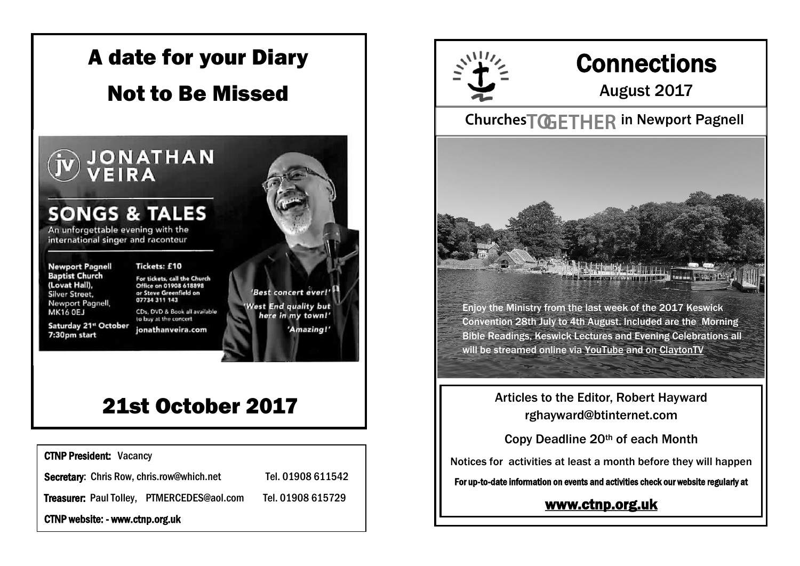

## 21st October 2017

CTNP President: Vacancy Secretary: Chris Row, chris.row@which.net Tel. 01908 611542 Treasurer: Paul Tolley, PTMERCEDES@aol.com Tel. 01908 615729 CTNP website: - www.ctnp.org.uk



# **Connections**

August 2017

#### Churches TOGETHER in Newport Pagnell

wa wa kata kata matanga kata kata na mata kata ka

Enjoy the Ministry from the last week of the 2017 Keswick Convention 28th July to 4th August. Included are the Morning Bible Readings, Keswick Lectures and Evening Celebrations all will be streamed online via [YouTube](http://www.youtube.com/channel/UClYl2JZ8iN_sR4SfCbiiykQ) and on [ClaytonTV](http://clayton.tv/)

> Articles to the Editor, Robert Hayward rghayward@btinternet.com

Copy Deadline 20th of each Month

Notices for activities at least a month before they will happen

For up-to-date information on events and activities check our website regularly at

[www.ctnp.org.uk](http://www.ctnp.org.uk)